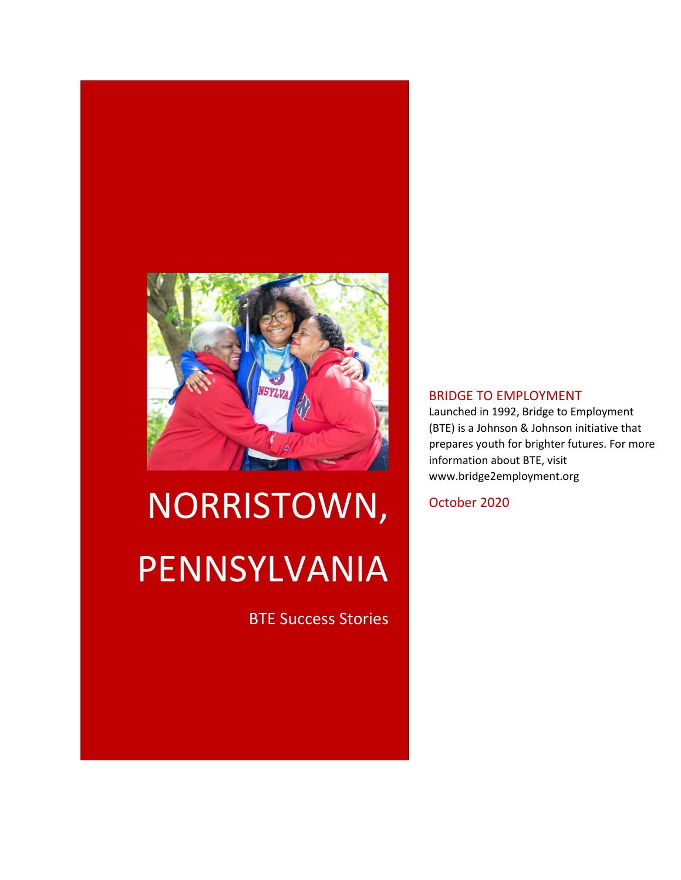

# NORRISTOWN, PENNSYLVANIA

BTE Success Stories

#### BRIDGE TO EMPLOYMENT

Launched in 1992, Bridge to Employment (BTE) is a Johnson & Johnson initiative that prepares youth for brighter futures. For more information about BTE, visit www.bridge2employment.org

October 2020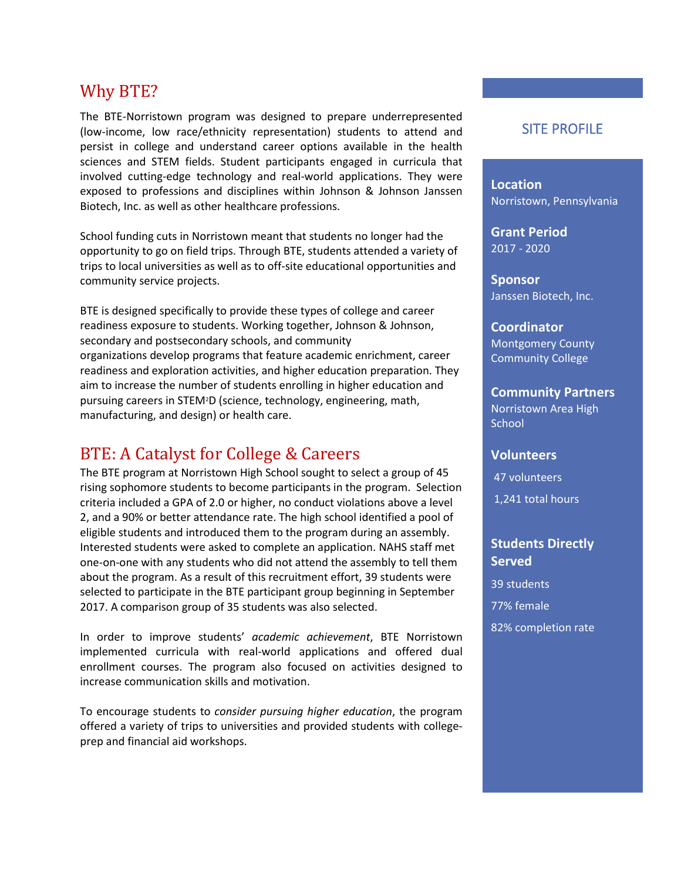## Why BTE?

The BTE-Norristown program was designed to prepare underrepresented (low-income, low race/ethnicity representation) students to attend and persist in college and understand career options available in the health sciences and STEM fields. Student participants engaged in curricula that involved cutting-edge technology and real-world applications. They were exposed to professions and disciplines within Johnson & Johnson Janssen Biotech, Inc. as well as other healthcare professions.

School funding cuts in Norristown meant that students no longer had the opportunity to go on field trips. Through BTE, students attended a variety of trips to local universities as well as to off-site educational opportunities and community service projects.

BTE is designed specifically to provide these types of college and career readiness exposure to students. Working together, Johnson & Johnson, secondary and postsecondary schools, and community organizations develop programs that feature academic enrichment, career readiness and exploration activities, and higher education preparation. They aim to increase the number of students enrolling in higher education and pursuing careers in STEM2D (science, technology, engineering, math, manufacturing, and design) or health care.

# BTE: A Catalyst for College & Careers

The BTE program at Norristown High School sought to select a group of 45 rising sophomore students to become participants in the program. Selection criteria included a GPA of 2.0 or higher, no conduct violations above a level 2, and a 90% or better attendance rate. The high school identified a pool of eligible students and introduced them to the program during an assembly. Interested students were asked to complete an application. NAHS staff met one-on-one with any students who did not attend the assembly to tell them about the program. As a result of this recruitment effort, 39 students were selected to participate in the BTE participant group beginning in September 2017. A comparison group of 35 students was also selected.

In order to improve students' *academic achievement*, BTE Norristown implemented curricula with real-world applications and offered dual enrollment courses. The program also focused on activities designed to increase communication skills and motivation.

To encourage students to *consider pursuing higher education*, the program offered a variety of trips to universities and provided students with collegeprep and financial aid workshops.

#### SITE PROFILE

**Location** Norristown, Pennsylvania

**Grant Period** 2017 - 2020

**Sponsor** Janssen Biotech, Inc.

**Coordinator** Montgomery County Community College

**Community Partners** Norristown Area High **School** 

#### **Volunteers**

47 volunteers

1,241 total hours

#### **Students Directly Served**

39 students 77% female 82% completion rate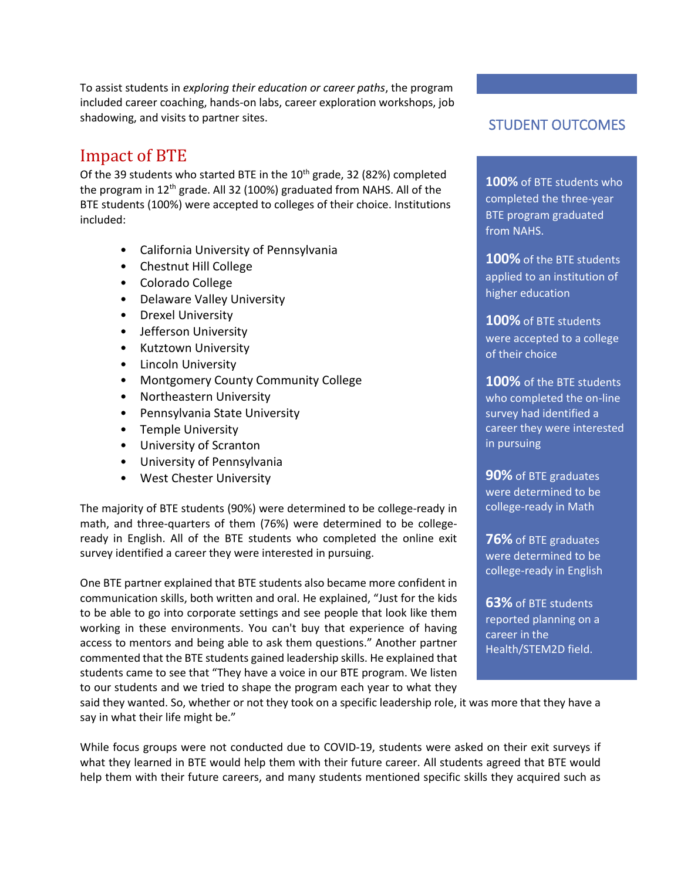To assist students in *exploring their education or career paths*, the program included career coaching, hands-on labs, career exploration workshops, job shadowing, and visits to partner sites.

# Impact of BTE

Of the 39 students who started BTE in the  $10^{th}$  grade, 32 (82%) completed the program in 12<sup>th</sup> grade. All 32 (100%) graduated from NAHS. All of the BTE students (100%) were accepted to colleges of their choice. Institutions included:

- California University of Pennsylvania
- Chestnut Hill College
- Colorado College
- Delaware Valley University
- Drexel University
- Jefferson University
- Kutztown University
- Lincoln University
- Montgomery County Community College
- Northeastern University
- Pennsylvania State University
- Temple University
- University of Scranton
- University of Pennsylvania
- West Chester University

The majority of BTE students (90%) were determined to be college-ready in math, and three-quarters of them (76%) were determined to be collegeready in English. All of the BTE students who completed the online exit survey identified a career they were interested in pursuing.

One BTE partner explained that BTE students also became more confident in communication skills, both written and oral. He explained, "Just for the kids to be able to go into corporate settings and see people that look like them working in these environments. You can't buy that experience of having access to mentors and being able to ask them questions." Another partner commented that the BTE students gained leadership skills. He explained that students came to see that "They have a voice in our BTE program. We listen to our students and we tried to shape the program each year to what they

### STUDENT OUTCOMES

**100%** of BTE students who completed the three-year BTE program graduated from NAHS.

**100%** of the BTE students applied to an institution of higher education

**100%** of BTE students were accepted to a college of their choice

**100%** of the BTE students who completed the on-line survey had identified a career they were interested in pursuing

**90%** of BTE graduates were determined to be college-ready in Math

**76%** of BTE graduates were determined to be college-ready in English

**63%** of BTE students reported planning on a career in the Health/STEM2D field.

said they wanted. So, whether or not they took on a specific leadership role, it was more that they have a say in what their life might be."

While focus groups were not conducted due to COVID-19, students were asked on their exit surveys if what they learned in BTE would help them with their future career. All students agreed that BTE would help them with their future careers, and many students mentioned specific skills they acquired such as